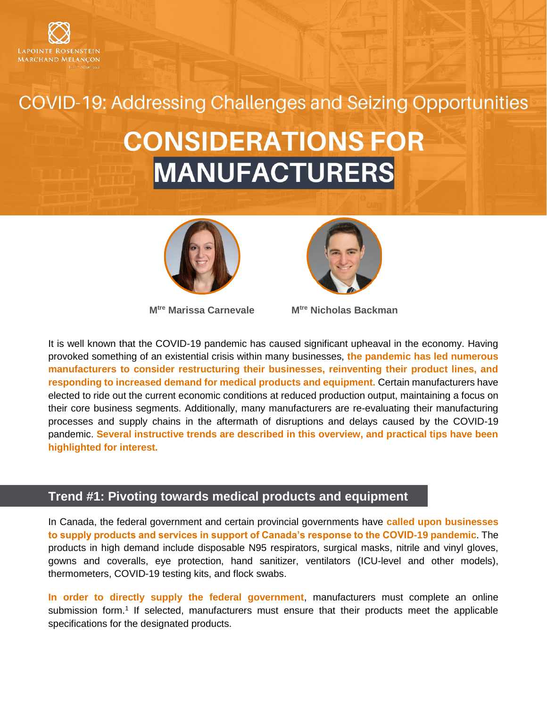

COVID-19: Addressing Challenges and Seizing Opportunities

# **CONSIDERATIONS FOR MANUFACTURERS**





**Mtre [Marissa Carnevale](http://www.lrmm.com/en-CA/team/attorneys/lawyer-carnevale-marissa) Mtre [Nicholas Backman](http://www.lrmm.com/en-CA/team/attorneys/lawyer-backman-nicholas)**

It is well known that the COVID-19 pandemic has caused significant upheaval in the economy. Having provoked something of an existential crisis within many businesses, **the pandemic has led numerous manufacturers to consider restructuring their businesses, reinventing their product lines, and responding to increased demand for medical products and equipment.** Certain manufacturers have elected to ride out the current economic conditions at reduced production output, maintaining a focus on their core business segments. Additionally, many manufacturers are re-evaluating their manufacturing processes and supply chains in the aftermath of disruptions and delays caused by the COVID-19 pandemic. **Several instructive trends are described in this overview, and practical tips have been highlighted for interest.**

## **Trend #1: Pivoting towards medical products and equipment**

In Canada, the federal government and certain provincial governments have **called upon businesses to supply products and services in support of Canada's response to the COVID-19 pandemic**. The products in high demand include disposable N95 respirators, surgical masks, nitrile and vinyl gloves, gowns and coveralls, eye protection, hand sanitizer, ventilators (ICU-level and other models), thermometers, COVID-19 testing kits, and flock swabs.

**In order to directly supply the federal government**, manufacturers must complete an online submission form.<sup>1</sup> If selected, manufacturers must ensure that their products meet the applicable specifications for the designated products.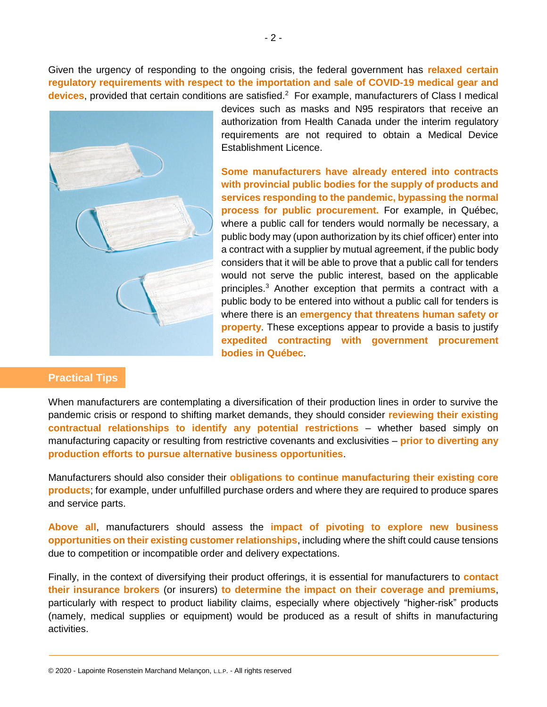Given the urgency of responding to the ongoing crisis, the federal government has **relaxed certain regulatory requirements with respect to the importation and sale of COVID-19 medical gear and**  devices, provided that certain conditions are satisfied.<sup>2</sup> For example, manufacturers of Class I medical



devices such as masks and N95 respirators that receive an authorization from Health Canada under the interim regulatory requirements are not required to obtain a Medical Device Establishment Licence.

**Some manufacturers have already entered into contracts with provincial public bodies for the supply of products and services responding to the pandemic, bypassing the normal process for public procurement.** For example, in Québec, where a public call for tenders would normally be necessary, a public body may (upon authorization by its chief officer) enter into a contract with a supplier by mutual agreement, if the public body considers that it will be able to prove that a public call for tenders would not serve the public interest, based on the applicable principles.<sup>3</sup> Another exception that permits a contract with a public body to be entered into without a public call for tenders is where there is an **emergency that threatens human safety or property**. These exceptions appear to provide a basis to justify **expedited contracting with government procurement bodies in Québec**.

### **Practical Tips**

When manufacturers are contemplating a diversification of their production lines in order to survive the pandemic crisis or respond to shifting market demands, they should consider **reviewing their existing contractual relationships to identify any potential restrictions** – whether based simply on manufacturing capacity or resulting from restrictive covenants and exclusivities – **prior to diverting any production efforts to pursue alternative business opportunities**.

Manufacturers should also consider their **obligations to continue manufacturing their existing core products**; for example, under unfulfilled purchase orders and where they are required to produce spares and service parts.

**Above all**, manufacturers should assess the **impact of pivoting to explore new business opportunities on their existing customer relationships**, including where the shift could cause tensions due to competition or incompatible order and delivery expectations.

Finally, in the context of diversifying their product offerings, it is essential for manufacturers to **contact their insurance brokers** (or insurers) **to determine the impact on their coverage and premiums**, particularly with respect to product liability claims, especially where objectively "higher-risk" products (namely, medical supplies or equipment) would be produced as a result of shifts in manufacturing activities.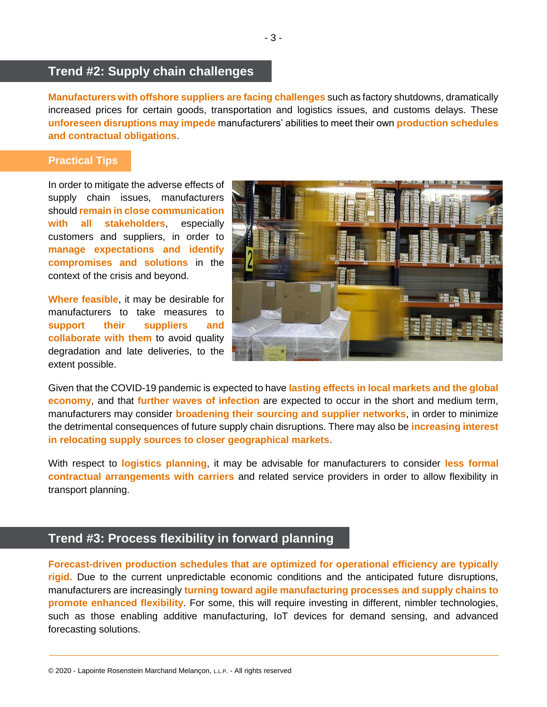## **Trend #2: Supply chain challenges**

**Manufacturers with offshore suppliers are facing challenges** such as factory shutdowns, dramatically increased prices for certain goods, transportation and logistics issues, and customs delays. These **unforeseen disruptions may impede** manufacturers' abilities to meet their own **production schedules and contractual obligations**.

#### **Practical Tips**

In order to mitigate the adverse effects of supply chain issues, manufacturers should **remain in close communication with all stakeholders**, especially customers and suppliers, in order to **manage expectations and identify compromises and solutions** in the context of the crisis and beyond.

**Where feasible**, it may be desirable for manufacturers to take measures to **support their suppliers and collaborate with them** to avoid quality degradation and late deliveries, to the extent possible.



Given that the COVID-19 pandemic is expected to have **lasting effects in local markets and the global economy**, and that **further waves of infection** are expected to occur in the short and medium term, manufacturers may consider **broadening their sourcing and supplier networks**, in order to minimize the detrimental consequences of future supply chain disruptions. There may also be **increasing interest in relocating supply sources to closer geographical markets**.

With respect to **logistics planning**, it may be advisable for manufacturers to consider **less formal contractual arrangements with carriers** and related service providers in order to allow flexibility in transport planning.

## **Trend #3: Process flexibility in forward planning**

**Forecast-driven production schedules that are optimized for operational efficiency are typically rigid.** Due to the current unpredictable economic conditions and the anticipated future disruptions, manufacturers are increasingly **turning toward agile manufacturing processes and supply chains to promote enhanced flexibility**. For some, this will require investing in different, nimbler technologies, such as those enabling additive manufacturing, IoT devices for demand sensing, and advanced forecasting solutions.